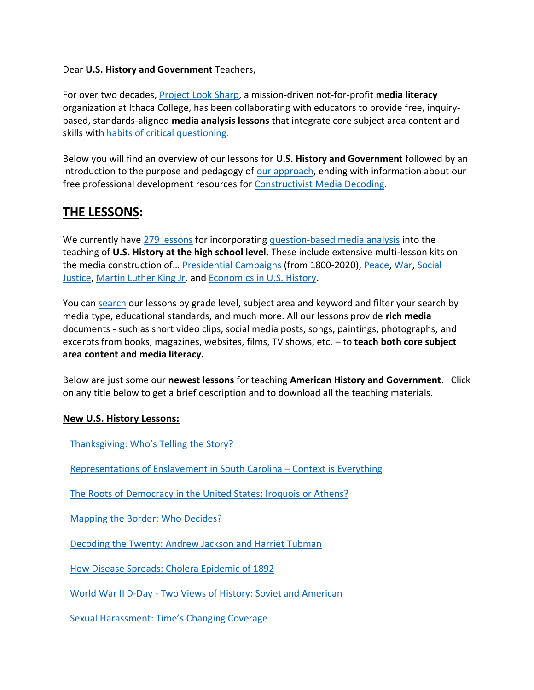### Dear **U.S. History and Government** Teachers,

For over two decades, [Project Look Sharp,](https://www.projectlooksharp.org/) a mission-driven not-for-profit **media literacy** organization at Ithaca College, has been collaborating with educators to provide free, inquirybased, standards-aligned **media analysis lessons** that integrate core subject area content and skills with [habits of critical questioning.](https://projectlooksharp.org/Resources%202/Key-Questions-for-Decoding%20Dec-21.pdf)

Below you will find an overview of our lessons for **U.S. History and Government** followed by an introduction to the purpose and pedagogy of [our approach,](https://projectlooksharp.org/our-approach.php) ending with information about our free professional development resources for [Constructivist Media Decoding.](https://projectlooksharp.org/our-approach.php#Constructivist)

# **THE LESSONS:**

We currently have [279 lessons](https://projectlooksharp.org/search-result.php?limit=10&search%5Bkeyword%5D=&search%5Bcategory%5D=lessons&search_filter%5Bresource_subject_area%5D%5B%5D=us+history+and+government&search_filter%5Bresource_grade_level%5D%5B%5D=high+school) for incorporating [question-based media analysis](https://projectlooksharp.org/our-approach.php#Constructivist) into the teaching of **U.S. History at the high school level**. These include extensive multi-lesson kits on the media construction of… [Presidential Campaigns](https://projectlooksharp.org/front_end.php?kit_id=5) (from 1800-2020), [Peace,](https://projectlooksharp.org/front_end.php?kit_id=6) [War,](https://projectlooksharp.org/front_end.php?kit_id=25) [Social](https://projectlooksharp.org/front_end.php?kit_id=7)  [Justice,](https://projectlooksharp.org/front_end.php?kit_id=7) [Martin Luther King Jr.](https://projectlooksharp.org/front_end.php?kit_id=21) and [Economics in U.S. History.](https://projectlooksharp.org/front_end.php?kit_id=16)

You can [search](https://projectlooksharp.org/search-result.php?search%5Bcategory%5D=all&search%5Bkeyword%5D=&search_filter%5Bresource_subject_area%5D%5B%5D=&search_filter%5Bresource_grade_level%5D%5B%5D=) our lessons by grade level, subject area and keyword and filter your search by media type, educational standards, and much more. All our lessons provide **rich media** documents - such as short video clips, social media posts, songs, paintings, photographs, and excerpts from books, magazines, websites, films, TV shows, etc. – to **teach both core subject area content and media literacy.**

Below are just some our **newest lessons** for teaching **American History and Government**. Click on any title below to get a brief description and to download all the teaching materials.

#### **New U.S. History Lessons:**

[Thanksgiving:](https://projectlooksharp.org/front_end_resource.php?resource_id=484) Who's Telling the Story?

[Representations](https://projectlooksharp.org/front_end_resource.php?resource_id=498) of Enslavement in South Carolina – Context is Everything

The Roots of [Democracy](https://projectlooksharp.org/front_end_resource.php?resource_id=538) in the United States: Iroquois or Athens?

[Mapping](https://projectlooksharp.org/front_end_resource.php?resource_id=457) the Border: Who Decides?

[Decoding](https://projectlooksharp.org/front_end_resource.php?resource_id=461) the Twenty: Andrew Jackson and Harriet Tubman

How Disease Spreads: Cholera [Epidemic](https://projectlooksharp.org/front_end_resource.php?resource_id=507) of 1892

World War II D-Day - Two Views of History: Soviet and [American](https://projectlooksharp.org/front_end_resource.php?resource_id=442)

Sexual [Harassment:](https://projectlooksharp.org/front_end_resource.php?resource_id=447) Time's Changing Coverage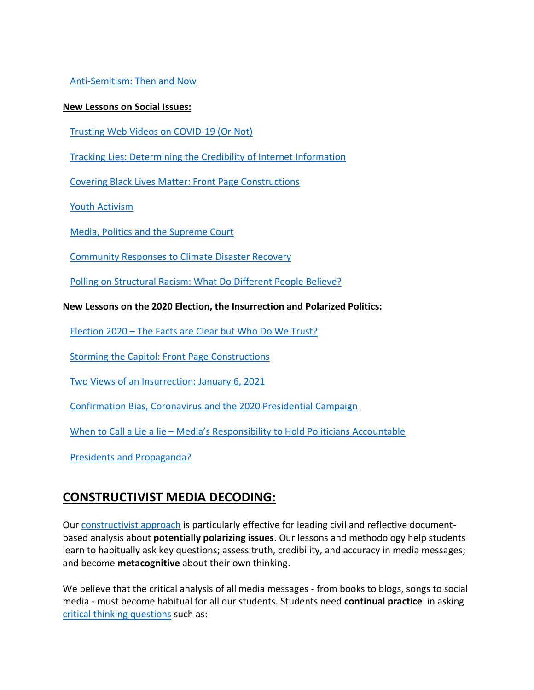[Anti-Semitism:](https://projectlooksharp.org/front_end_resource.php?resource_id=448) Then and Now

#### **New Lessons on Social Issues:**

Trusting Web Videos on [COVID-19](https://projectlooksharp.org/front_end_resource.php?resource_id=506) (Or Not)

Tracking Lies: [Determining](https://projectlooksharp.org/front_end_resource.php?resource_id=449) the Credibility of Internet Information

Covering Black Lives Matter: Front Page [Constructions](https://projectlooksharp.org/front_end_resource.php?resource_id=526)

Youth [Activism](https://projectlooksharp.org/front_end_resource.php?resource_id=148)

Media, Politics and the [Supreme](https://projectlooksharp.org/front_end_resource.php?resource_id=536) Court

[Community](https://projectlooksharp.org/front_end_resource.php?resource_id=430) Responses to Climate Disaster Recovery

Polling on [Structural](https://projectlooksharp.org/front_end_resource.php?resource_id=561) Racism: What Do Different People Believe?

### **New Lessons on the 2020 Election, the Insurrection and Polarized Politics:**

[Election](https://projectlooksharp.org/front_end_resource.php?resource_id=565) 2020 – The Facts are Clear but Who Do We Trust?

Storming the Capitol: Front Page [Constructions](https://projectlooksharp.org/front_end_resource.php?resource_id=551)

Two Views of an [Insurrection:](https://projectlooksharp.org/front_end_resource.php?resource_id=553) January 6, 2021

[Confirmation](https://projectlooksharp.org/front_end_resource.php?resource_id=520) Bias, Coronavirus and the 2020 Presidential Campaign

When to Call a Lie a lie – Media's [Responsibility](https://projectlooksharp.org/front_end_resource.php?resource_id=537) to Hold Politicians Accountable

Presidents and [Propaganda?](https://projectlooksharp.org/front_end_resource.php?resource_id=563)

## **CONSTRUCTIVIST MEDIA DECODING:**

Our [constructivist approach](https://projectlooksharp.org/our-approach.php) is particularly effective for leading civil and reflective documentbased analysis about **potentially polarizing issues**. Our lessons and methodology help students learn to habitually ask key questions; assess truth, credibility, and accuracy in media messages; and become **metacognitive** about their own thinking.

We believe that the critical analysis of all media messages - from books to blogs, songs to social media - must become habitual for all our students. Students need **continual practice** in asking [critical thinking](https://projectlooksharp.org/Resources%202/Project%20Look%20Sharp%20Key%20Questions%20Both.pdf) questions such as: